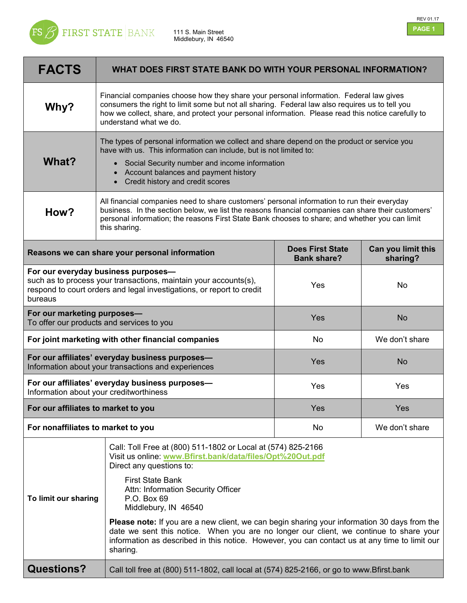

 111 S. Main Street Middlebury, IN 46540



| <b>FACTS</b>                                                                                                                                                                                | WHAT DOES FIRST STATE BANK DO WITH YOUR PERSONAL INFORMATION?                                                                                                                                                                                                                                                             |                                               |                                |
|---------------------------------------------------------------------------------------------------------------------------------------------------------------------------------------------|---------------------------------------------------------------------------------------------------------------------------------------------------------------------------------------------------------------------------------------------------------------------------------------------------------------------------|-----------------------------------------------|--------------------------------|
| Why?                                                                                                                                                                                        | Financial companies choose how they share your personal information. Federal law gives<br>consumers the right to limit some but not all sharing. Federal law also requires us to tell you<br>how we collect, share, and protect your personal information. Please read this notice carefully to<br>understand what we do. |                                               |                                |
| What?                                                                                                                                                                                       | The types of personal information we collect and share depend on the product or service you<br>have with us. This information can include, but is not limited to:<br>• Social Security number and income information<br>Account balances and payment history<br>Credit history and credit scores                          |                                               |                                |
| How?                                                                                                                                                                                        | All financial companies need to share customers' personal information to run their everyday<br>business. In the section below, we list the reasons financial companies can share their customers'<br>personal information; the reasons First State Bank chooses to share; and whether you can limit<br>this sharing.      |                                               |                                |
| Reasons we can share your personal information                                                                                                                                              |                                                                                                                                                                                                                                                                                                                           | <b>Does First State</b><br><b>Bank share?</b> | Can you limit this<br>sharing? |
| For our everyday business purposes-<br>such as to process your transactions, maintain your accounts(s),<br>respond to court orders and legal investigations, or report to credit<br>bureaus |                                                                                                                                                                                                                                                                                                                           | Yes                                           | <b>No</b>                      |
| For our marketing purposes-<br>To offer our products and services to you                                                                                                                    |                                                                                                                                                                                                                                                                                                                           | Yes                                           | <b>No</b>                      |
| For joint marketing with other financial companies                                                                                                                                          |                                                                                                                                                                                                                                                                                                                           | <b>No</b>                                     | We don't share                 |
| For our affiliates' everyday business purposes-<br>Information about your transactions and experiences                                                                                      |                                                                                                                                                                                                                                                                                                                           | Yes                                           | <b>No</b>                      |
| For our affiliates' everyday business purposes-<br>Information about your creditworthiness                                                                                                  |                                                                                                                                                                                                                                                                                                                           | Yes                                           | Yes                            |
| For our affiliates to market to you                                                                                                                                                         |                                                                                                                                                                                                                                                                                                                           | Yes                                           | Yes                            |
| For nonaffiliates to market to you                                                                                                                                                          |                                                                                                                                                                                                                                                                                                                           | No                                            | We don't share                 |
|                                                                                                                                                                                             | Call: Toll Free at (800) 511-1802 or Local at (574) 825-2166<br>Visit us online: www.Bfirst.bank/data/files/Opt%20Out.pdf<br>Direct any questions to:                                                                                                                                                                     |                                               |                                |
| To limit our sharing                                                                                                                                                                        | <b>First State Bank</b><br>Attn: Information Security Officer<br>P.O. Box 69<br>Middlebury, IN 46540                                                                                                                                                                                                                      |                                               |                                |
|                                                                                                                                                                                             | <b>Please note:</b> If you are a new client, we can begin sharing your information 30 days from the<br>date we sent this notice. When you are no longer our client, we continue to share your<br>information as described in this notice. However, you can contact us at any time to limit our<br>sharing.                |                                               |                                |
| <b>Questions?</b>                                                                                                                                                                           | Call toll free at (800) 511-1802, call local at (574) 825-2166, or go to www.Bfirst.bank                                                                                                                                                                                                                                  |                                               |                                |